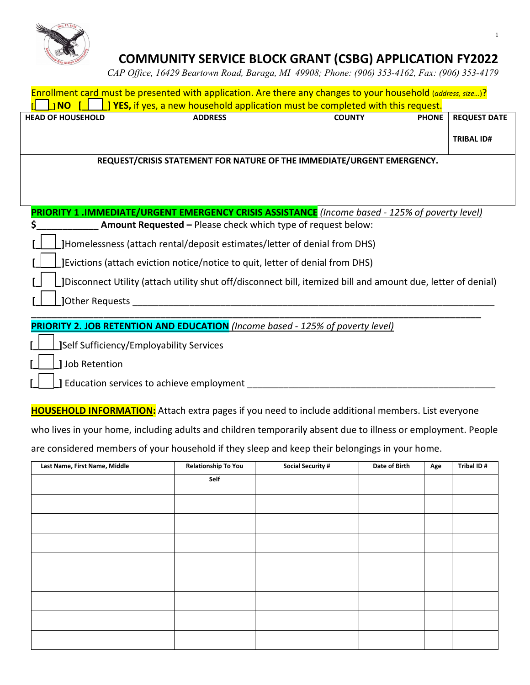

# **COMMUNITY SERVICE BLOCK GRANT (CSBG) APPLICATION FY2022**

*CAP Office, 16429 Beartown Road, Baraga, MI 49908; Phone: (906) 353-4162, Fax: (906) 353-4179*

| Enrollment card must be presented with application. Are there any changes to your household (address, size)?  |                                                                                                 |               |              |                     |  |
|---------------------------------------------------------------------------------------------------------------|-------------------------------------------------------------------------------------------------|---------------|--------------|---------------------|--|
| <b>INO</b>                                                                                                    | <b>J YES, if yes, a new household application must be completed with this request.</b>          |               |              |                     |  |
| <b>HEAD OF HOUSEHOLD</b>                                                                                      | <b>ADDRESS</b>                                                                                  | <b>COUNTY</b> | <b>PHONE</b> | <b>REQUEST DATE</b> |  |
|                                                                                                               |                                                                                                 |               |              | <b>TRIBAL ID#</b>   |  |
|                                                                                                               | REQUEST/CRISIS STATEMENT FOR NATURE OF THE IMMEDIATE/URGENT EMERGENCY.                          |               |              |                     |  |
|                                                                                                               |                                                                                                 |               |              |                     |  |
|                                                                                                               |                                                                                                 |               |              |                     |  |
|                                                                                                               | PRIORITY 1 .IMMEDIATE/URGENT EMERGENCY CRISIS ASSISTANCE (Income based - 125% of poverty level) |               |              |                     |  |
|                                                                                                               | Amount Requested - Please check which type of request below:                                    |               |              |                     |  |
| JHomelessness (attach rental/deposit estimates/letter of denial from DHS)                                     |                                                                                                 |               |              |                     |  |
| JEvictions (attach eviction notice/notice to quit, letter of denial from DHS)                                 |                                                                                                 |               |              |                     |  |
| [Disconnect Utility (attach utility shut off/disconnect bill, itemized bill and amount due, letter of denial) |                                                                                                 |               |              |                     |  |
| JOther Requests                                                                                               |                                                                                                 |               |              |                     |  |
|                                                                                                               | <b>PRIORITY 2. JOB RETENTION AND EDUCATION</b> (Income based - 125% of poverty level)           |               |              |                     |  |
| <b>JSelf Sufficiency/Employability Services</b>                                                               |                                                                                                 |               |              |                     |  |
| Job Retention                                                                                                 |                                                                                                 |               |              |                     |  |
| Education services to achieve employment                                                                      |                                                                                                 |               |              |                     |  |

**HOUSEHOLD INFORMATION:** Attach extra pages if you need to include additional members. List everyone

who lives in your home, including adults and children temporarily absent due to illness or employment. People

are considered members of your household if they sleep and keep their belongings in your home.

| Last Name, First Name, Middle | <b>Relationship To You</b> | <b>Social Security #</b> | Date of Birth | Age | Tribal ID# |
|-------------------------------|----------------------------|--------------------------|---------------|-----|------------|
|                               | Self                       |                          |               |     |            |
|                               |                            |                          |               |     |            |
|                               |                            |                          |               |     |            |
|                               |                            |                          |               |     |            |
|                               |                            |                          |               |     |            |
|                               |                            |                          |               |     |            |
|                               |                            |                          |               |     |            |
|                               |                            |                          |               |     |            |
|                               |                            |                          |               |     |            |
|                               |                            |                          |               |     |            |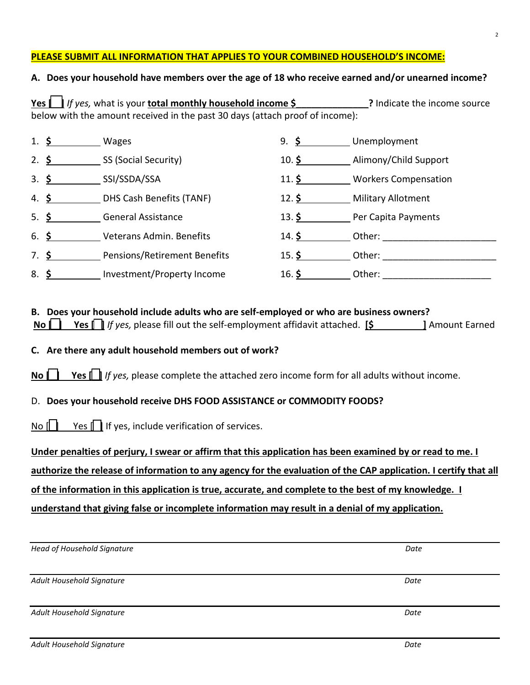### **PLEASE SUBMIT ALL INFORMATION THAT APPLIES TO YOUR COMBINED HOUSEHOLD'S INCOME:**

### **A. Does your household have members over the age of 18 who receive earned and/or unearned income?**

| Yes $\ \cdot\ $ If yes, what is your total monthly household income \$ |                                                                              | ? Indicate the income source |
|------------------------------------------------------------------------|------------------------------------------------------------------------------|------------------------------|
|                                                                        | below with the amount received in the past 30 days (attach proof of income): |                              |

|                  | 1. $\frac{6}{9}$ | Wages                               | 9. $\frac{1}{2}$  | Unemployment                |
|------------------|------------------|-------------------------------------|-------------------|-----------------------------|
|                  | 2. $\frac{6}{2}$ | SS (Social Security)                | $10.$ \$          | Alimony/Child Support       |
| 3.5              |                  | SSI/SSDA/SSA                        | $11.$ \$          | <b>Workers Compensation</b> |
|                  | 4. $\frac{6}{2}$ | DHS Cash Benefits (TANF)            | 12. $\frac{1}{2}$ | <b>Military Allotment</b>   |
| 5. $\frac{1}{2}$ |                  | <b>General Assistance</b>           | 13. $\frac{1}{2}$ | Per Capita Payments         |
| 6. $\frac{1}{2}$ |                  | Veterans Admin. Benefits            | 14. \$            | Other:                      |
| 7. \$            |                  | <b>Pensions/Retirement Benefits</b> | $15.$ \$          | Other:                      |
| 8.5              |                  | Investment/Property Income          | 16. $\frac{1}{2}$ | Other:                      |

|  | B. Does your household include adults who are self-employed or who are business owners?                    |  |  |  |                        |  |
|--|------------------------------------------------------------------------------------------------------------|--|--|--|------------------------|--|
|  | <b>No <math>\Box</math></b> Yes $\Box$ If yes, please fill out the self-employment affidavit attached. [\$ |  |  |  | <b>1 Amount Earned</b> |  |

**C. Are there any adult household members out of work?** 

**No <b>| Yes** | *If yes, please complete the attached zero income form for all adults without income.* 

### D. **Does your household receive DHS FOOD ASSISTANCE or COMMODITY FOODS?**

No  $\Box$  Yes  $\Box$  If yes, include verification of services.

**Under penalties of perjury, I swear or affirm that this application has been examined by or read to me. I** 

**authorize the release of information to any agency for the evaluation of the CAP application. I certify that all** 

**of the information in this application is true, accurate, and complete to the best of my knowledge. I** 

**understand that giving false or incomplete information may result in a denial of my application.** 

| Head of Household Signature | Date |
|-----------------------------|------|
| Adult Household Signature   | Date |
| Adult Household Signature   | Date |
|                             |      |